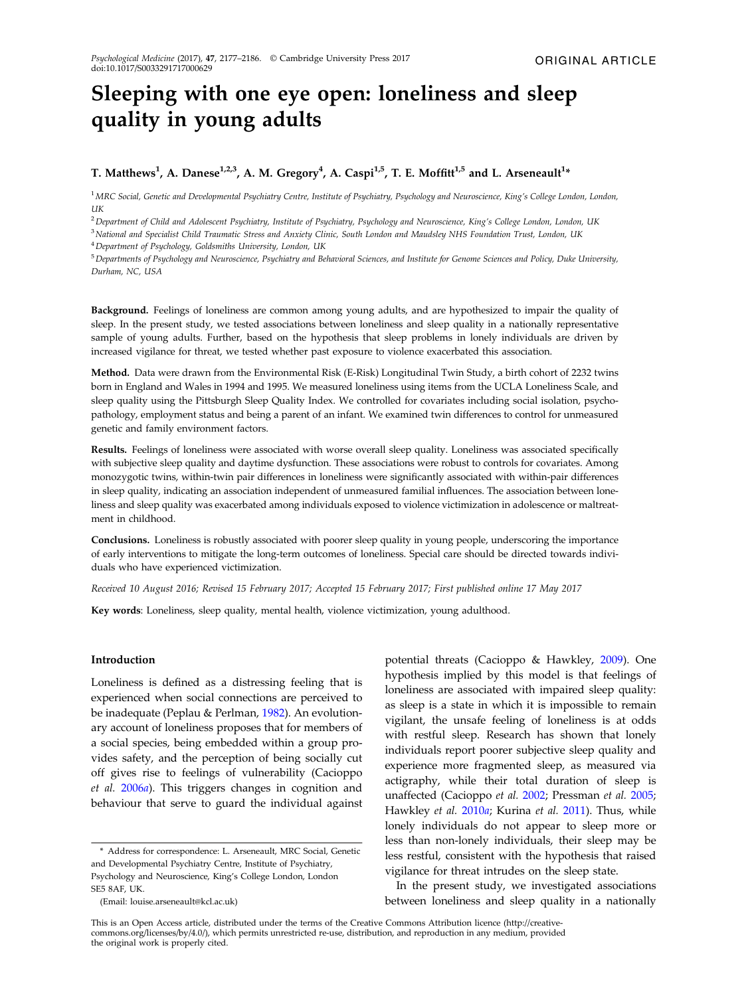# Sleeping with one eye open: loneliness and sleep quality in young adults

# T. Matthews<sup>1</sup>, A. Danese<sup>1,2,3</sup>, A. M. Gregory<sup>4</sup>, A. Caspi<sup>1,5</sup>, T. E. Moffitt<sup>1,5</sup> and L. Arseneault<sup>1</sup>\*

<sup>1</sup> MRC Social, Genetic and Developmental Psychiatry Centre, Institute of Psychiatry, Psychology and Neuroscience, King's College London, London,  $IIK$ 

<sup>2</sup> Department of Child and Adolescent Psychiatry, Institute of Psychiatry, Psychology and Neuroscience, King's College London, London, UK

<sup>3</sup> National and Specialist Child Traumatic Stress and Anxiety Clinic, South London and Maudsley NHS Foundation Trust, London, UK

<sup>4</sup>Department of Psychology, Goldsmiths University, London, UK

<sup>5</sup>Departments of Psychology and Neuroscience, Psychiatry and Behavioral Sciences, and Institute for Genome Sciences and Policy, Duke University, Durham, NC, USA

Background. Feelings of loneliness are common among young adults, and are hypothesized to impair the quality of sleep. In the present study, we tested associations between loneliness and sleep quality in a nationally representative sample of young adults. Further, based on the hypothesis that sleep problems in lonely individuals are driven by increased vigilance for threat, we tested whether past exposure to violence exacerbated this association.

Method. Data were drawn from the Environmental Risk (E-Risk) Longitudinal Twin Study, a birth cohort of 2232 twins born in England and Wales in 1994 and 1995. We measured loneliness using items from the UCLA Loneliness Scale, and sleep quality using the Pittsburgh Sleep Quality Index. We controlled for covariates including social isolation, psychopathology, employment status and being a parent of an infant. We examined twin differences to control for unmeasured genetic and family environment factors.

Results. Feelings of loneliness were associated with worse overall sleep quality. Loneliness was associated specifically with subjective sleep quality and daytime dysfunction. These associations were robust to controls for covariates. Among monozygotic twins, within-twin pair differences in loneliness were significantly associated with within-pair differences in sleep quality, indicating an association independent of unmeasured familial influences. The association between loneliness and sleep quality was exacerbated among individuals exposed to violence victimization in adolescence or maltreatment in childhood.

Conclusions. Loneliness is robustly associated with poorer sleep quality in young people, underscoring the importance of early interventions to mitigate the long-term outcomes of loneliness. Special care should be directed towards individuals who have experienced victimization.

Received 10 August 2016; Revised 15 February 2017; Accepted 15 February 2017; First published online 17 May 2017

Key words: Loneliness, sleep quality, mental health, violence victimization, young adulthood.

#### Introduction

Loneliness is defined as a distressing feeling that is experienced when social connections are perceived to be inadequate (Peplau & Perlman, [1982\)](#page-9-0). An evolutionary account of loneliness proposes that for members of a social species, being embedded within a group provides safety, and the perception of being socially cut off gives rise to feelings of vulnerability (Cacioppo et al. [2006](#page-8-0)a). This triggers changes in cognition and behaviour that serve to guard the individual against

\* Address for correspondence: L. Arseneault, MRC Social, Genetic and Developmental Psychiatry Centre, Institute of Psychiatry, Psychology and Neuroscience, King's College London, London SE5 8AF, UK.

potential threats (Cacioppo & Hawkley, [2009](#page-8-0)). One hypothesis implied by this model is that feelings of loneliness are associated with impaired sleep quality: as sleep is a state in which it is impossible to remain vigilant, the unsafe feeling of loneliness is at odds with restful sleep. Research has shown that lonely individuals report poorer subjective sleep quality and experience more fragmented sleep, as measured via actigraphy, while their total duration of sleep is unaffected (Cacioppo et al. [2002](#page-8-0); Pressman et al. [2005](#page-9-0); Hawkley et al. [2010](#page-8-0)a; Kurina et al. [2011\)](#page-8-0). Thus, while lonely individuals do not appear to sleep more or less than non-lonely individuals, their sleep may be less restful, consistent with the hypothesis that raised vigilance for threat intrudes on the sleep state.

In the present study, we investigated associations between loneliness and sleep quality in a nationally

This is an Open Access article, distributed under the terms of the Creative Commons Attribution licence (http://creativecommons.org/licenses/by/4.0/), which permits unrestricted re-use, distribution, and reproduction in any medium, provided the original work is properly cited.

<sup>(</sup>Email: [louise.arseneault@kcl.ac.uk](mailto:louise.arseneault@kcl.ac.uk))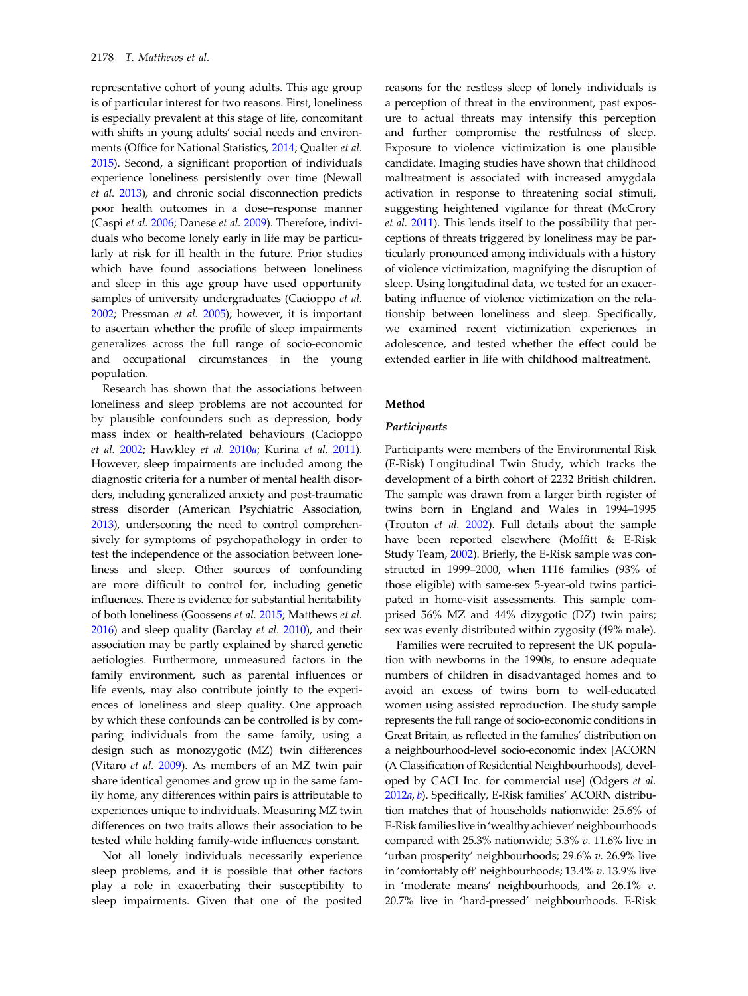representative cohort of young adults. This age group is of particular interest for two reasons. First, loneliness is especially prevalent at this stage of life, concomitant with shifts in young adults' social needs and environments (Office for National Statistics, [2014;](#page-9-0) Qualter et al. [2015\)](#page-9-0). Second, a significant proportion of individuals experience loneliness persistently over time (Newall et al. [2013\)](#page-9-0), and chronic social disconnection predicts poor health outcomes in a dose–response manner (Caspi et al. [2006](#page-8-0); Danese et al. [2009](#page-8-0)). Therefore, individuals who become lonely early in life may be particularly at risk for ill health in the future. Prior studies which have found associations between loneliness and sleep in this age group have used opportunity samples of university undergraduates (Cacioppo et al. [2002;](#page-8-0) Pressman et al. [2005\)](#page-9-0); however, it is important to ascertain whether the profile of sleep impairments generalizes across the full range of socio-economic and occupational circumstances in the young population.

Research has shown that the associations between loneliness and sleep problems are not accounted for by plausible confounders such as depression, body mass index or health-related behaviours (Cacioppo et al. [2002;](#page-8-0) Hawkley et al. [2010](#page-8-0)a; Kurina et al. [2011](#page-8-0)). However, sleep impairments are included among the diagnostic criteria for a number of mental health disorders, including generalized anxiety and post-traumatic stress disorder (American Psychiatric Association, [2013\)](#page-7-0), underscoring the need to control comprehensively for symptoms of psychopathology in order to test the independence of the association between loneliness and sleep. Other sources of confounding are more difficult to control for, including genetic influences. There is evidence for substantial heritability of both loneliness (Goossens et al. [2015;](#page-8-0) Matthews et al.  $2016$ ) and sleep quality (Barclay *et al.*  $2010$ ), and their association may be partly explained by shared genetic aetiologies. Furthermore, unmeasured factors in the family environment, such as parental influences or life events, may also contribute jointly to the experiences of loneliness and sleep quality. One approach by which these confounds can be controlled is by comparing individuals from the same family, using a design such as monozygotic (MZ) twin differences (Vitaro et al. [2009](#page-9-0)). As members of an MZ twin pair share identical genomes and grow up in the same family home, any differences within pairs is attributable to experiences unique to individuals. Measuring MZ twin differences on two traits allows their association to be tested while holding family-wide influences constant.

Not all lonely individuals necessarily experience sleep problems, and it is possible that other factors play a role in exacerbating their susceptibility to sleep impairments. Given that one of the posited

reasons for the restless sleep of lonely individuals is a perception of threat in the environment, past exposure to actual threats may intensify this perception and further compromise the restfulness of sleep. Exposure to violence victimization is one plausible candidate. Imaging studies have shown that childhood maltreatment is associated with increased amygdala activation in response to threatening social stimuli, suggesting heightened vigilance for threat (McCrory et al. [2011](#page-8-0)). This lends itself to the possibility that perceptions of threats triggered by loneliness may be particularly pronounced among individuals with a history of violence victimization, magnifying the disruption of sleep. Using longitudinal data, we tested for an exacerbating influence of violence victimization on the relationship between loneliness and sleep. Specifically, we examined recent victimization experiences in adolescence, and tested whether the effect could be extended earlier in life with childhood maltreatment.

#### Method

#### Participants

Participants were members of the Environmental Risk (E-Risk) Longitudinal Twin Study, which tracks the development of a birth cohort of 2232 British children. The sample was drawn from a larger birth register of twins born in England and Wales in 1994–1995 (Trouton et al. [2002\)](#page-9-0). Full details about the sample have been reported elsewhere (Moffitt & E-Risk Study Team, [2002\)](#page-9-0). Briefly, the E-Risk sample was constructed in 1999–2000, when 1116 families (93% of those eligible) with same-sex 5-year-old twins participated in home-visit assessments. This sample comprised 56% MZ and 44% dizygotic (DZ) twin pairs; sex was evenly distributed within zygosity (49% male).

Families were recruited to represent the UK population with newborns in the 1990s, to ensure adequate numbers of children in disadvantaged homes and to avoid an excess of twins born to well-educated women using assisted reproduction. The study sample represents the full range of socio-economic conditions in Great Britain, as reflected in the families' distribution on a neighbourhood-level socio-economic index [ACORN (A Classification of Residential Neighbourhoods), developed by CACI Inc. for commercial use] (Odgers et al. [2012](#page-9-0)a, [b](#page-9-0)). Specifically, E-Risk families' ACORN distribution matches that of households nationwide: 25.6% of E-Risk familieslive in'wealthy achiever' neighbourhoods compared with 25.3% nationwide; 5.3% v. 11.6% live in 'urban prosperity' neighbourhoods; 29.6% v. 26.9% live in 'comfortably off' neighbourhoods; 13.4% v. 13.9% live in 'moderate means' neighbourhoods, and 26.1% v. 20.7% live in 'hard-pressed' neighbourhoods. E-Risk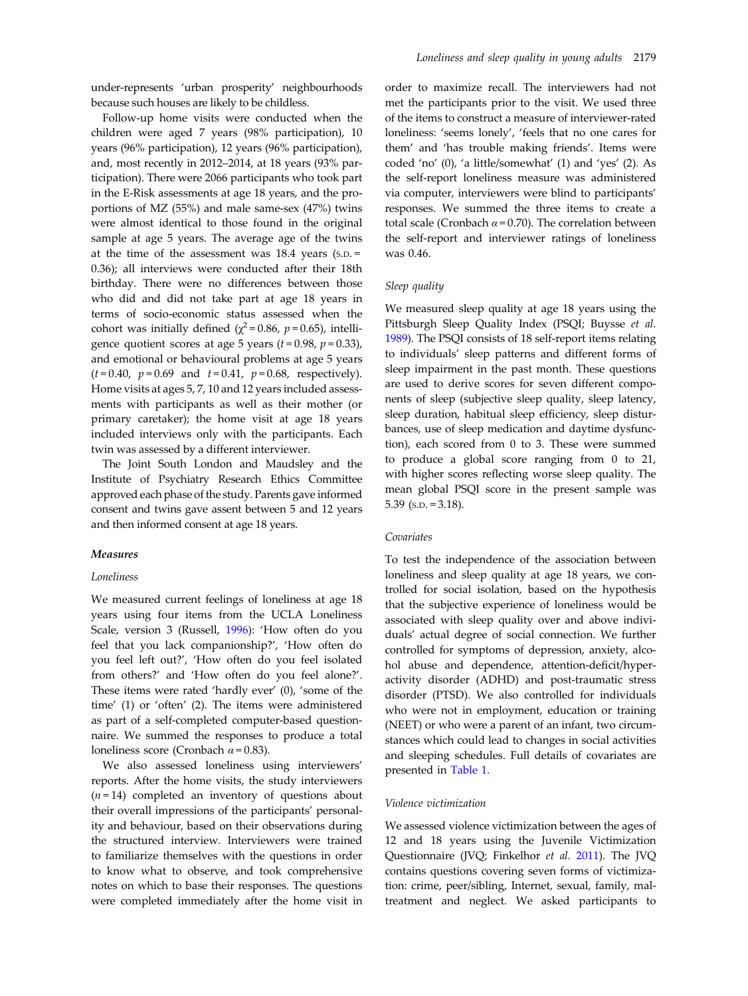under-represents 'urban prosperity' neighbourhoods because such houses are likely to be childless.

Follow-up home visits were conducted when the children were aged 7 years (98% participation), 10 years (96% participation), 12 years (96% participation), and, most recently in 2012–2014, at 18 years (93% participation). There were 2066 participants who took part in the E-Risk assessments at age 18 years, and the proportions of MZ (55%) and male same-sex (47%) twins were almost identical to those found in the original sample at age 5 years. The average age of the twins at the time of the assessment was  $18.4$  years (s.p. = 0.36); all interviews were conducted after their 18th birthday. There were no differences between those who did and did not take part at age 18 years in terms of socio-economic status assessed when the cohort was initially defined ( $\chi^2$ =0.86, p=0.65), intelligence quotient scores at age 5 years ( $t = 0.98$ ,  $p = 0.33$ ), and emotional or behavioural problems at age 5 years  $(t = 0.40, p = 0.69 \text{ and } t = 0.41, p = 0.68, respectively).$ Home visits at ages 5, 7, 10 and 12 years included assessments with participants as well as their mother (or primary caretaker); the home visit at age 18 years included interviews only with the participants. Each twin was assessed by a different interviewer.

The Joint South London and Maudsley and the Institute of Psychiatry Research Ethics Committee approved each phase of the study. Parents gave informed consent and twins gave assent between 5 and 12 years and then informed consent at age 18 years.

#### Measures

### Loneliness

We measured current feelings of loneliness at age 18 years using four items from the UCLA Loneliness Scale, version 3 (Russell, [1996\)](#page-9-0): 'How often do you feel that you lack companionship?', 'How often do you feel left out?', 'How often do you feel isolated from others?' and 'How often do you feel alone?'. These items were rated 'hardly ever' (0), 'some of the time' (1) or 'often' (2). The items were administered as part of a self-completed computer-based questionnaire. We summed the responses to produce a total loneliness score (Cronbach  $\alpha$  = 0.83).

We also assessed loneliness using interviewers' reports. After the home visits, the study interviewers  $(n=14)$  completed an inventory of questions about their overall impressions of the participants' personality and behaviour, based on their observations during the structured interview. Interviewers were trained to familiarize themselves with the questions in order to know what to observe, and took comprehensive notes on which to base their responses. The questions were completed immediately after the home visit in order to maximize recall. The interviewers had not met the participants prior to the visit. We used three of the items to construct a measure of interviewer-rated loneliness: 'seems lonely', 'feels that no one cares for them' and 'has trouble making friends'. Items were coded 'no' (0), 'a little/somewhat' (1) and 'yes' (2). As the self-report loneliness measure was administered via computer, interviewers were blind to participants' responses. We summed the three items to create a total scale (Cronbach  $\alpha$  = 0.70). The correlation between the self-report and interviewer ratings of loneliness was 0.46.

#### Sleep quality

We measured sleep quality at age 18 years using the Pittsburgh Sleep Quality Index (PSQI; Buysse et al. [1989\)](#page-8-0). The PSQI consists of 18 self-report items relating to individuals' sleep patterns and different forms of sleep impairment in the past month. These questions are used to derive scores for seven different components of sleep (subjective sleep quality, sleep latency, sleep duration, habitual sleep efficiency, sleep disturbances, use of sleep medication and daytime dysfunction), each scored from 0 to 3. These were summed to produce a global score ranging from 0 to 21, with higher scores reflecting worse sleep quality. The mean global PSQI score in the present sample was 5.39 (s.p.  $= 3.18$ ).

#### Covariates

To test the independence of the association between loneliness and sleep quality at age 18 years, we controlled for social isolation, based on the hypothesis that the subjective experience of loneliness would be associated with sleep quality over and above individuals' actual degree of social connection. We further controlled for symptoms of depression, anxiety, alcohol abuse and dependence, attention-deficit/hyperactivity disorder (ADHD) and post-traumatic stress disorder (PTSD). We also controlled for individuals who were not in employment, education or training (NEET) or who were a parent of an infant, two circumstances which could lead to changes in social activities and sleeping schedules. Full details of covariates are presented in [Table 1.](#page-3-0)

#### Violence victimization

We assessed violence victimization between the ages of 12 and 18 years using the Juvenile Victimization Questionnaire (JVQ; Finkelhor et al. [2011](#page-8-0)). The JVQ contains questions covering seven forms of victimization: crime, peer/sibling, Internet, sexual, family, maltreatment and neglect. We asked participants to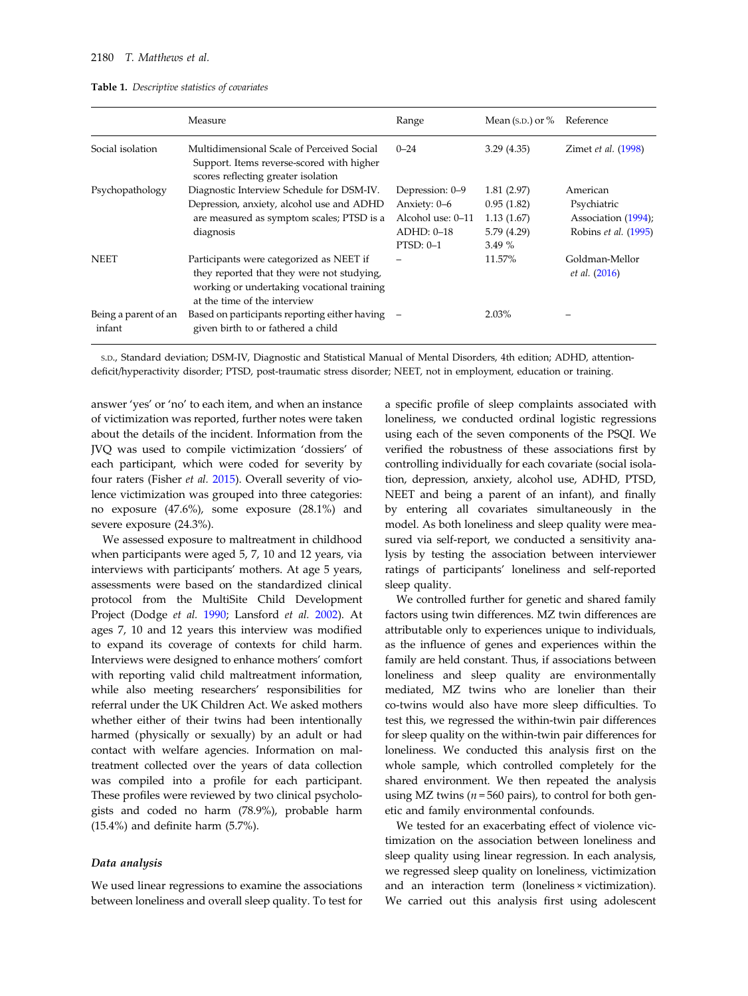<span id="page-3-0"></span>

|  | <b>Table 1.</b> Descriptive statistics of covariates |  |  |  |
|--|------------------------------------------------------|--|--|--|
|--|------------------------------------------------------|--|--|--|

|                                | Measure                                                                                                                                                              | Range             | Mean (s.p.) or $\%$ | Reference                              |
|--------------------------------|----------------------------------------------------------------------------------------------------------------------------------------------------------------------|-------------------|---------------------|----------------------------------------|
| Social isolation               | Multidimensional Scale of Perceived Social<br>Support. Items reverse-scored with higher<br>scores reflecting greater isolation                                       | $0 - 24$          | 3.29(4.35)          | Zimet et al. (1998)                    |
| Psychopathology                | Diagnostic Interview Schedule for DSM-IV.                                                                                                                            | Depression: 0-9   | 1.81(2.97)          | American                               |
|                                | Depression, anxiety, alcohol use and ADHD                                                                                                                            | Anxiety: 0-6      | 0.95(1.82)          | Psychiatric                            |
|                                | are measured as symptom scales; PTSD is a                                                                                                                            | Alcohol use: 0-11 | 1.13(1.67)          | Association (1994);                    |
|                                | diagnosis                                                                                                                                                            | $ADHD: 0-18$      | 5.79 (4.29)         | Robins et al. (1995)                   |
|                                |                                                                                                                                                                      | $PTSD: 0-1$       | 3.49%               |                                        |
| <b>NEET</b>                    | Participants were categorized as NEET if<br>they reported that they were not studying,<br>working or undertaking vocational training<br>at the time of the interview |                   | 11.57%              | Goldman-Mellor<br><i>et al.</i> (2016) |
| Being a parent of an<br>infant | Based on participants reporting either having<br>given birth to or fathered a child                                                                                  |                   | $2.03\%$            |                                        |

S.D., Standard deviation; DSM-IV, Diagnostic and Statistical Manual of Mental Disorders, 4th edition; ADHD, attentiondeficit/hyperactivity disorder; PTSD, post-traumatic stress disorder; NEET, not in employment, education or training.

answer 'yes' or 'no' to each item, and when an instance of victimization was reported, further notes were taken about the details of the incident. Information from the JVQ was used to compile victimization 'dossiers' of each participant, which were coded for severity by four raters (Fisher et al. [2015](#page-8-0)). Overall severity of violence victimization was grouped into three categories: no exposure (47.6%), some exposure (28.1%) and severe exposure (24.3%).

We assessed exposure to maltreatment in childhood when participants were aged 5, 7, 10 and 12 years, via interviews with participants' mothers. At age 5 years, assessments were based on the standardized clinical protocol from the MultiSite Child Development Project (Dodge et al. [1990](#page-8-0); Lansford et al. [2002](#page-8-0)). At ages 7, 10 and 12 years this interview was modified to expand its coverage of contexts for child harm. Interviews were designed to enhance mothers' comfort with reporting valid child maltreatment information, while also meeting researchers' responsibilities for referral under the UK Children Act. We asked mothers whether either of their twins had been intentionally harmed (physically or sexually) by an adult or had contact with welfare agencies. Information on maltreatment collected over the years of data collection was compiled into a profile for each participant. These profiles were reviewed by two clinical psychologists and coded no harm (78.9%), probable harm (15.4%) and definite harm (5.7%).

#### Data analysis

We used linear regressions to examine the associations between loneliness and overall sleep quality. To test for a specific profile of sleep complaints associated with loneliness, we conducted ordinal logistic regressions using each of the seven components of the PSQI. We verified the robustness of these associations first by controlling individually for each covariate (social isolation, depression, anxiety, alcohol use, ADHD, PTSD, NEET and being a parent of an infant), and finally by entering all covariates simultaneously in the model. As both loneliness and sleep quality were measured via self-report, we conducted a sensitivity analysis by testing the association between interviewer ratings of participants' loneliness and self-reported sleep quality.

We controlled further for genetic and shared family factors using twin differences. MZ twin differences are attributable only to experiences unique to individuals, as the influence of genes and experiences within the family are held constant. Thus, if associations between loneliness and sleep quality are environmentally mediated, MZ twins who are lonelier than their co-twins would also have more sleep difficulties. To test this, we regressed the within-twin pair differences for sleep quality on the within-twin pair differences for loneliness. We conducted this analysis first on the whole sample, which controlled completely for the shared environment. We then repeated the analysis using MZ twins ( $n = 560$  pairs), to control for both genetic and family environmental confounds.

We tested for an exacerbating effect of violence victimization on the association between loneliness and sleep quality using linear regression. In each analysis, we regressed sleep quality on loneliness, victimization and an interaction term (loneliness × victimization). We carried out this analysis first using adolescent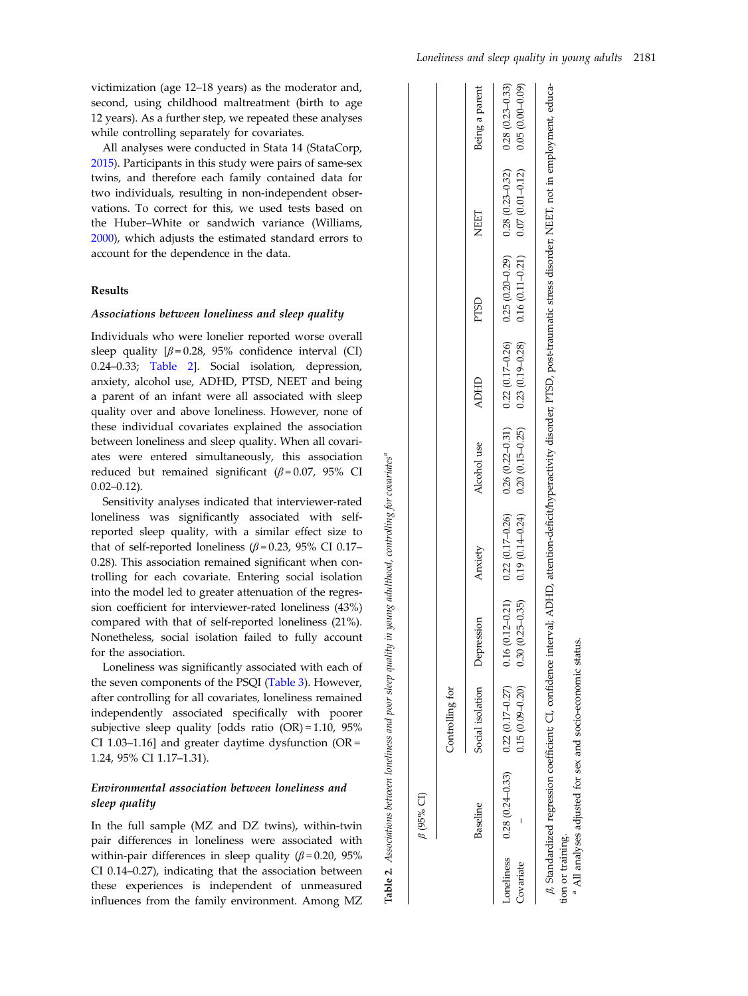victimization (age 12–18 years) as the moderator and, second, using childhood maltreatment (birth to age 12 years). As a further step, we repeated these analyses while controlling separately for covariates.

All analyses were conducted in Stata 14 (StataCorp, [2015\)](#page-9-0). Participants in this study were pairs of same-sex twins, and therefore each family contained data for two individuals, resulting in non-independent observations. To correct for this, we used tests based on the Huber–White or sandwich variance (Williams, [2000\)](#page-9-0), which adjusts the estimated standard errors to account for the dependence in the data.

## Results

### Associations between loneliness and sleep quality

Individuals who were lonelier reported worse overall sleep quality  $\beta = 0.28$ , 95% confidence interval (CI) 0.24–0.33; Table 2]. Social isolation, depression, anxiety, alcohol use, ADHD, PTSD, NEET and being a parent of an infant were all associated with sleep quality over and above loneliness. However, none of these individual covariates explained the association between loneliness and sleep quality. When all covariates were entered simultaneously, this association reduced but remained significant ( $\beta$  = 0.07, 95% CI  $0.02 - 0.12$ ).

Sensitivity analyses indicated that interviewer-rated loneliness was significantly associated with selfreported sleep quality, with a similar effect size to that of self-reported loneliness ( $\beta$ =0.23, 95% CI 0.17– 0.28). This association remained significant when controlling for each covariate. Entering social isolation into the model led to greater attenuation of the regression coefficient for interviewer-rated loneliness (43%) compared with that of self-reported loneliness (21%). Nonetheless, social isolation failed to fully account for the association.

Loneliness was significantly associated with each of the seven components of the PSQI ([Table 3](#page-5-0)). However, after controlling for all covariates, loneliness remained independently associated specifically with poorer subjective sleep quality [odds ratio (OR) = 1.10, 95% CI 1.03–1.16] and greater daytime dysfunction  $(OR =$ 1.24, 95% CI 1.17–1.31).

## Environmental association between loneliness and sleep quality

In the full sample (MZ and DZ twins), within-twin pair differences in loneliness were associated with within-pair differences in sleep quality ( $\beta$  = 0.20, 95%) CI 0.14–0.27), indicating that the association between these experiences is independent of unmeasured influences from the family environment. Among MZ

|                  |                             | Controlling for                                                                                                                                                                        |            |         |                                                                                                                                                                                                                                                                                                                                  |             |      |                     |                                        |
|------------------|-----------------------------|----------------------------------------------------------------------------------------------------------------------------------------------------------------------------------------|------------|---------|----------------------------------------------------------------------------------------------------------------------------------------------------------------------------------------------------------------------------------------------------------------------------------------------------------------------------------|-------------|------|---------------------|----------------------------------------|
|                  | Baseline                    | ocial isolation                                                                                                                                                                        | Depression | Anxiety | Alcohol use                                                                                                                                                                                                                                                                                                                      | <b>ADHD</b> | PTSD | NEET                | Being a parent                         |
| <b>Covariate</b> | oneliness $0.28(0.24-0.33)$ | $0.22(0.17 - 0.27)$<br>$0.15(0.09 - 0.20)$                                                                                                                                             |            |         | $(0.25-0.35)$ $(0.25-0.35)$ $(0.15-0.25)$ $(0.15-0.25)$ $(0.15-0.24)$ $(0.25-0.25)$ $(0.15-0.21)$ $(0.15-0.25)$ $(0.15-0.25)$ $(0.15-0.25)$ $(0.15-0.25)$ $(0.15-0.25)$ $(0.15-0.25)$ $(0.15-0.25)$ $(0.15-0.25)$ $(0.15-0.25$<br>$0.16$ (0.12-0.21) $0.22$ (0.17-0.26) $0.26$ (0.22-0.31) $0.22$ (0.17-0.26) $0.25$ (0.20-0.29) |             |      | $0.28(0.23 - 0.32)$ | $0.28(0.23-0.33)$<br>$0.05(0.00-0.09)$ |
|                  |                             | B. Standardized regression coefficient; CI, confidence interval; ADHD, attention-deficit/hyperactivity disorder; PTSD, post-traumatic stress disorder; NEET, not in employment, educa- |            |         |                                                                                                                                                                                                                                                                                                                                  |             |      |                     |                                        |

Table 2. Associations between loneliness and poor sleep quality in young adulthood, controlling for covariates

 $\overline{\mathbf{a}}$ Table

Associations between loneliness and poor sleep quality in young adulthood, controlling for covariates"

β (95% CI)

tion or training.<br><sup>a</sup> All analyses adjusted for sex and socio-economic status. 'n ion or training.

All analyses adjusted for sex and socio-economic status.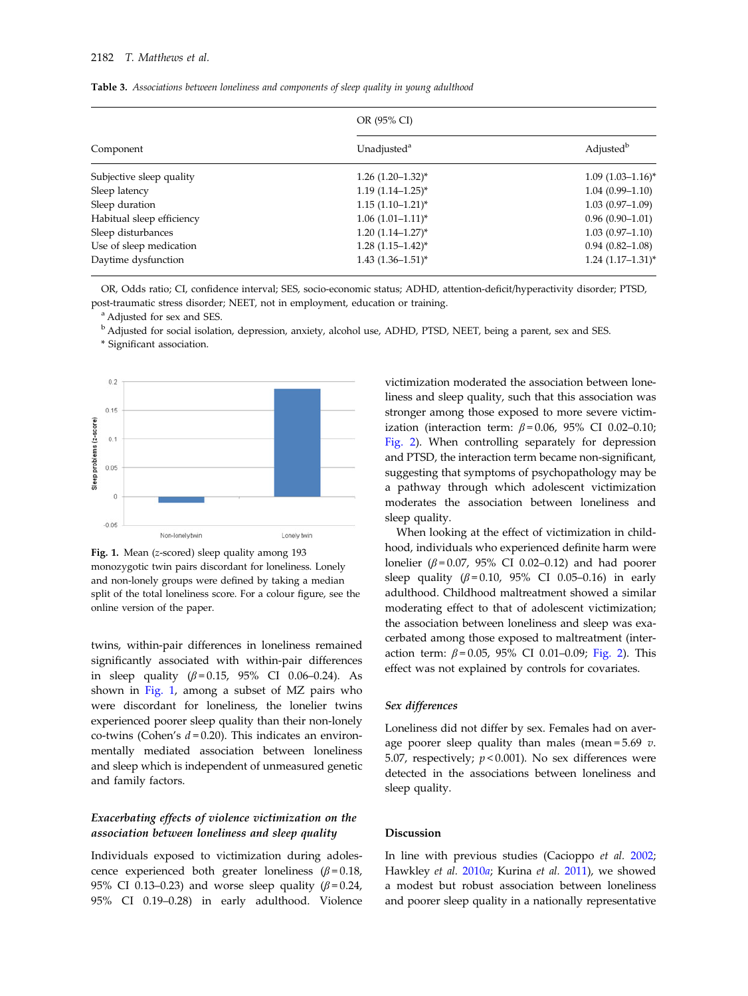<span id="page-5-0"></span>

|  |  |  |  |  |  | <b>Table 3.</b> Associations between loneliness and components of sleep quality in young adulthood |  |  |  |  |  |  |  |  |
|--|--|--|--|--|--|----------------------------------------------------------------------------------------------------|--|--|--|--|--|--|--|--|
|--|--|--|--|--|--|----------------------------------------------------------------------------------------------------|--|--|--|--|--|--|--|--|

|                           | OR (95% CI)              |                                   |  |  |  |  |
|---------------------------|--------------------------|-----------------------------------|--|--|--|--|
| Component                 | Unadjusted <sup>a</sup>  | Adjusted <sup>b</sup>             |  |  |  |  |
| Subjective sleep quality  | $1.26$ $(1.20-1.32)^{*}$ | $1.09(1.03 - 1.16)^*$             |  |  |  |  |
| Sleep latency             | $1.19(1.14 - 1.25)^{*}$  | $1.04(0.99-1.10)$                 |  |  |  |  |
| Sleep duration            | $1.15(1.10-1.21)^{*}$    | $1.03(0.97-1.09)$                 |  |  |  |  |
| Habitual sleep efficiency | $1.06(1.01-1.11)^*$      | $0.96(0.90-1.01)$                 |  |  |  |  |
| Sleep disturbances        | $1.20(1.14-1.27)^{*}$    | $1.03(0.97-1.10)$                 |  |  |  |  |
| Use of sleep medication   | $1.28$ $(1.15-1.42)^{*}$ | $0.94(0.82 - 1.08)$               |  |  |  |  |
| Daytime dysfunction       | $1.43(1.36-1.51)^{*}$    | $1.24$ $(1.17-1.31)$ <sup>*</sup> |  |  |  |  |

OR, Odds ratio; CI, confidence interval; SES, socio-economic status; ADHD, attention-deficit/hyperactivity disorder; PTSD, post-traumatic stress disorder; NEET, not in employment, education or training.

<sup>a</sup> Adjusted for sex and SES.

<sup>b</sup> Adjusted for social isolation, depression, anxiety, alcohol use, ADHD, PTSD, NEET, being a parent, sex and SES.

\* Significant association.



Fig. 1. Mean (z-scored) sleep quality among 193 monozygotic twin pairs discordant for loneliness. Lonely and non-lonely groups were defined by taking a median split of the total loneliness score. For a colour figure, see the online version of the paper.

twins, within-pair differences in loneliness remained significantly associated with within-pair differences in sleep quality  $(\beta = 0.15, 95\% \text{ CI} 0.06-0.24)$ . As shown in Fig. 1, among a subset of MZ pairs who were discordant for loneliness, the lonelier twins experienced poorer sleep quality than their non-lonely co-twins (Cohen's  $d = 0.20$ ). This indicates an environmentally mediated association between loneliness and sleep which is independent of unmeasured genetic and family factors.

# Exacerbating effects of violence victimization on the association between loneliness and sleep quality

Individuals exposed to victimization during adolescence experienced both greater loneliness  $(\beta = 0.18,$ 95% CI 0.13–0.23) and worse sleep quality  $(\beta = 0.24,$ 95% CI 0.19–0.28) in early adulthood. Violence

victimization moderated the association between loneliness and sleep quality, such that this association was stronger among those exposed to more severe victimization (interaction term:  $\beta = 0.06$ , 95% CI 0.02-0.10; [Fig. 2](#page-6-0)). When controlling separately for depression and PTSD, the interaction term became non-significant, suggesting that symptoms of psychopathology may be a pathway through which adolescent victimization moderates the association between loneliness and sleep quality.

When looking at the effect of victimization in childhood, individuals who experienced definite harm were lonelier ( $β = 0.07$ , 95% CI 0.02–0.12) and had poorer sleep quality  $(\beta = 0.10, 95\% \text{ CI } 0.05-0.16)$  in early adulthood. Childhood maltreatment showed a similar moderating effect to that of adolescent victimization; the association between loneliness and sleep was exacerbated among those exposed to maltreatment (interaction term:  $\beta = 0.05$ , 95% CI 0.01–0.09; [Fig. 2](#page-6-0)). This effect was not explained by controls for covariates.

## Sex differences

Loneliness did not differ by sex. Females had on average poorer sleep quality than males (mean =  $5.69$  v. 5.07, respectively;  $p < 0.001$ ). No sex differences were detected in the associations between loneliness and sleep quality.

## Discussion

In line with previous studies (Cacioppo et al. [2002](#page-8-0); Hawkley et al. [2010](#page-8-0)a; Kurina et al. [2011\)](#page-8-0), we showed a modest but robust association between loneliness and poorer sleep quality in a nationally representative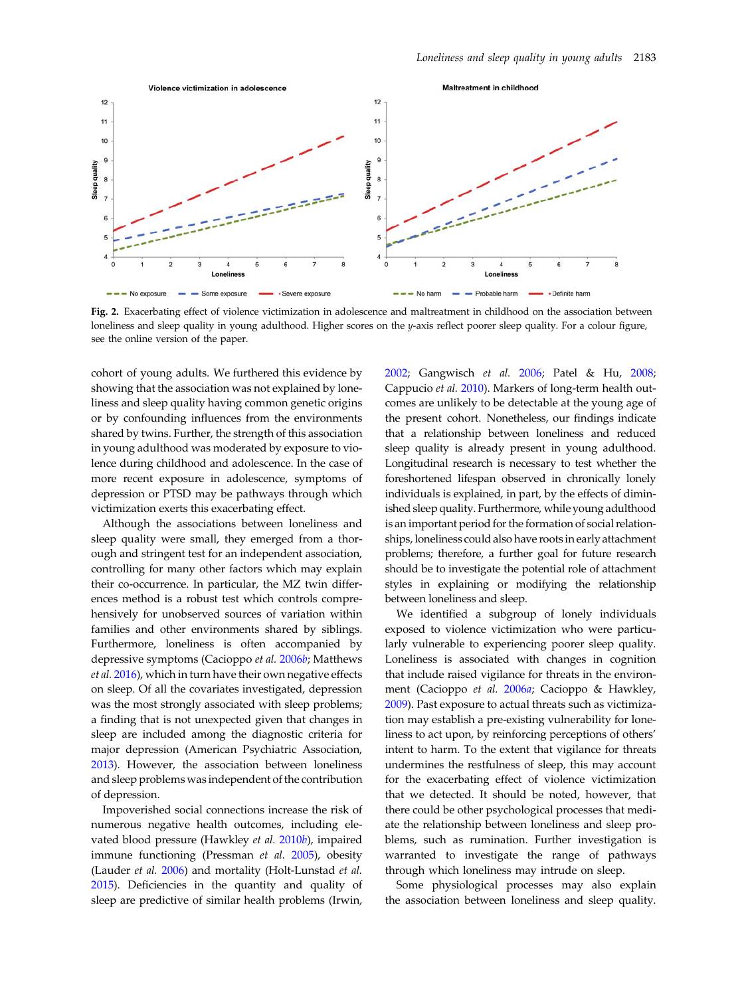<span id="page-6-0"></span>

Fig. 2. Exacerbating effect of violence victimization in adolescence and maltreatment in childhood on the association between loneliness and sleep quality in young adulthood. Higher scores on the y-axis reflect poorer sleep quality. For a colour figure, see the online version of the paper.

cohort of young adults. We furthered this evidence by showing that the association was not explained by loneliness and sleep quality having common genetic origins or by confounding influences from the environments shared by twins. Further, the strength of this association in young adulthood was moderated by exposure to violence during childhood and adolescence. In the case of more recent exposure in adolescence, symptoms of depression or PTSD may be pathways through which victimization exerts this exacerbating effect.

Although the associations between loneliness and sleep quality were small, they emerged from a thorough and stringent test for an independent association, controlling for many other factors which may explain their co-occurrence. In particular, the MZ twin differences method is a robust test which controls comprehensively for unobserved sources of variation within families and other environments shared by siblings. Furthermore, loneliness is often accompanied by depressive symptoms (Cacioppo et al. [2006](#page-8-0)b; Matthews et al. [2016\)](#page-8-0), which in turn have their own negative effects on sleep. Of all the covariates investigated, depression was the most strongly associated with sleep problems; a finding that is not unexpected given that changes in sleep are included among the diagnostic criteria for major depression (American Psychiatric Association, [2013\)](#page-7-0). However, the association between loneliness and sleep problems was independent of the contribution of depression.

Impoverished social connections increase the risk of numerous negative health outcomes, including elevated blood pressure (Hawkley et al. [2010](#page-8-0)b), impaired immune functioning (Pressman et al. [2005](#page-9-0)), obesity (Lauder et al. [2006\)](#page-8-0) and mortality (Holt-Lunstad et al. [2015\)](#page-8-0). Deficiencies in the quantity and quality of sleep are predictive of similar health problems (Irwin, [2002;](#page-8-0) Gangwisch et al. [2006;](#page-8-0) Patel & Hu, [2008](#page-9-0); Cappucio et al. [2010](#page-8-0)). Markers of long-term health outcomes are unlikely to be detectable at the young age of the present cohort. Nonetheless, our findings indicate that a relationship between loneliness and reduced sleep quality is already present in young adulthood. Longitudinal research is necessary to test whether the foreshortened lifespan observed in chronically lonely individuals is explained, in part, by the effects of diminished sleep quality. Furthermore, while young adulthood is an important period for the formation of social relationships, loneliness could also have roots in early attachment problems; therefore, a further goal for future research should be to investigate the potential role of attachment styles in explaining or modifying the relationship between loneliness and sleep.

We identified a subgroup of lonely individuals exposed to violence victimization who were particularly vulnerable to experiencing poorer sleep quality. Loneliness is associated with changes in cognition that include raised vigilance for threats in the environment (Cacioppo et al. [2006](#page-8-0)a; Cacioppo & Hawkley, [2009\)](#page-8-0). Past exposure to actual threats such as victimization may establish a pre-existing vulnerability for loneliness to act upon, by reinforcing perceptions of others' intent to harm. To the extent that vigilance for threats undermines the restfulness of sleep, this may account for the exacerbating effect of violence victimization that we detected. It should be noted, however, that there could be other psychological processes that mediate the relationship between loneliness and sleep problems, such as rumination. Further investigation is warranted to investigate the range of pathways through which loneliness may intrude on sleep.

Some physiological processes may also explain the association between loneliness and sleep quality.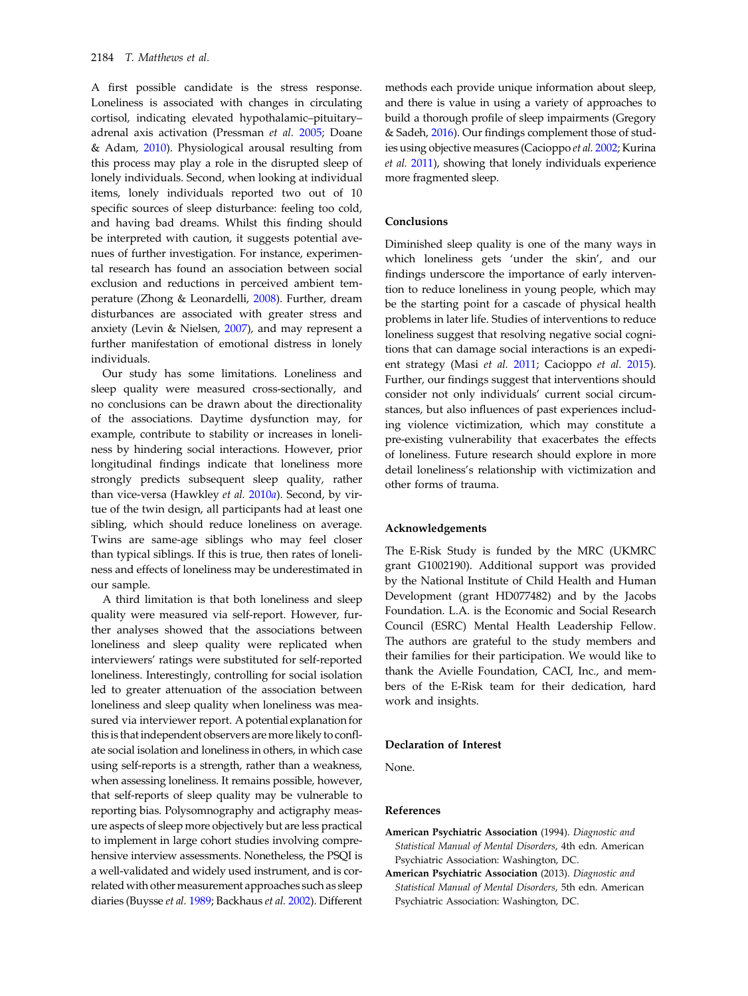<span id="page-7-0"></span>A first possible candidate is the stress response. Loneliness is associated with changes in circulating cortisol, indicating elevated hypothalamic–pituitary– adrenal axis activation (Pressman et al. [2005](#page-9-0); Doane & Adam, [2010\)](#page-8-0). Physiological arousal resulting from this process may play a role in the disrupted sleep of lonely individuals. Second, when looking at individual items, lonely individuals reported two out of 10 specific sources of sleep disturbance: feeling too cold, and having bad dreams. Whilst this finding should be interpreted with caution, it suggests potential avenues of further investigation. For instance, experimental research has found an association between social exclusion and reductions in perceived ambient temperature (Zhong & Leonardelli, [2008\)](#page-9-0). Further, dream disturbances are associated with greater stress and anxiety (Levin & Nielsen, [2007\)](#page-8-0), and may represent a further manifestation of emotional distress in lonely individuals.

Our study has some limitations. Loneliness and sleep quality were measured cross-sectionally, and no conclusions can be drawn about the directionality of the associations. Daytime dysfunction may, for example, contribute to stability or increases in loneliness by hindering social interactions. However, prior longitudinal findings indicate that loneliness more strongly predicts subsequent sleep quality, rather than vice-versa (Hawkley et al. [2010](#page-8-0)a). Second, by virtue of the twin design, all participants had at least one sibling, which should reduce loneliness on average. Twins are same-age siblings who may feel closer than typical siblings. If this is true, then rates of loneliness and effects of loneliness may be underestimated in our sample.

A third limitation is that both loneliness and sleep quality were measured via self-report. However, further analyses showed that the associations between loneliness and sleep quality were replicated when interviewers' ratings were substituted for self-reported loneliness. Interestingly, controlling for social isolation led to greater attenuation of the association between loneliness and sleep quality when loneliness was measured via interviewer report. A potential explanation for this is that independent observers are more likely to conflate social isolation and loneliness in others, in which case using self-reports is a strength, rather than a weakness, when assessing loneliness. It remains possible, however, that self-reports of sleep quality may be vulnerable to reporting bias. Polysomnography and actigraphy measure aspects of sleep more objectively but are less practical to implement in large cohort studies involving comprehensive interview assessments. Nonetheless, the PSQI is a well-validated and widely used instrument, and is correlated with other measurement approaches such as sleep diaries (Buysse et al. [1989](#page-8-0); Backhaus et al. [2002](#page-8-0)). Different

methods each provide unique information about sleep, and there is value in using a variety of approaches to build a thorough profile of sleep impairments (Gregory & Sadeh, [2016](#page-8-0)). Our findings complement those of studies using objective measures (Cacioppo et al. [2002;](#page-8-0) Kurina et al. [2011](#page-8-0)), showing that lonely individuals experience more fragmented sleep.

#### Conclusions

Diminished sleep quality is one of the many ways in which loneliness gets 'under the skin', and our findings underscore the importance of early intervention to reduce loneliness in young people, which may be the starting point for a cascade of physical health problems in later life. Studies of interventions to reduce loneliness suggest that resolving negative social cognitions that can damage social interactions is an expedi-ent strategy (Masi et al. [2011](#page-8-0); Cacioppo et al. [2015](#page-8-0)). Further, our findings suggest that interventions should consider not only individuals' current social circumstances, but also influences of past experiences including violence victimization, which may constitute a pre-existing vulnerability that exacerbates the effects of loneliness. Future research should explore in more detail loneliness's relationship with victimization and other forms of trauma.

## Acknowledgements

The E-Risk Study is funded by the MRC (UKMRC grant G1002190). Additional support was provided by the National Institute of Child Health and Human Development (grant HD077482) and by the Jacobs Foundation. L.A. is the Economic and Social Research Council (ESRC) Mental Health Leadership Fellow. The authors are grateful to the study members and their families for their participation. We would like to thank the Avielle Foundation, CACI, Inc., and members of the E-Risk team for their dedication, hard work and insights.

## Declaration of Interest

None.

## References

- American Psychiatric Association (1994). Diagnostic and Statistical Manual of Mental Disorders, 4th edn. American Psychiatric Association: Washington, DC.
- American Psychiatric Association (2013). Diagnostic and Statistical Manual of Mental Disorders, 5th edn. American Psychiatric Association: Washington, DC.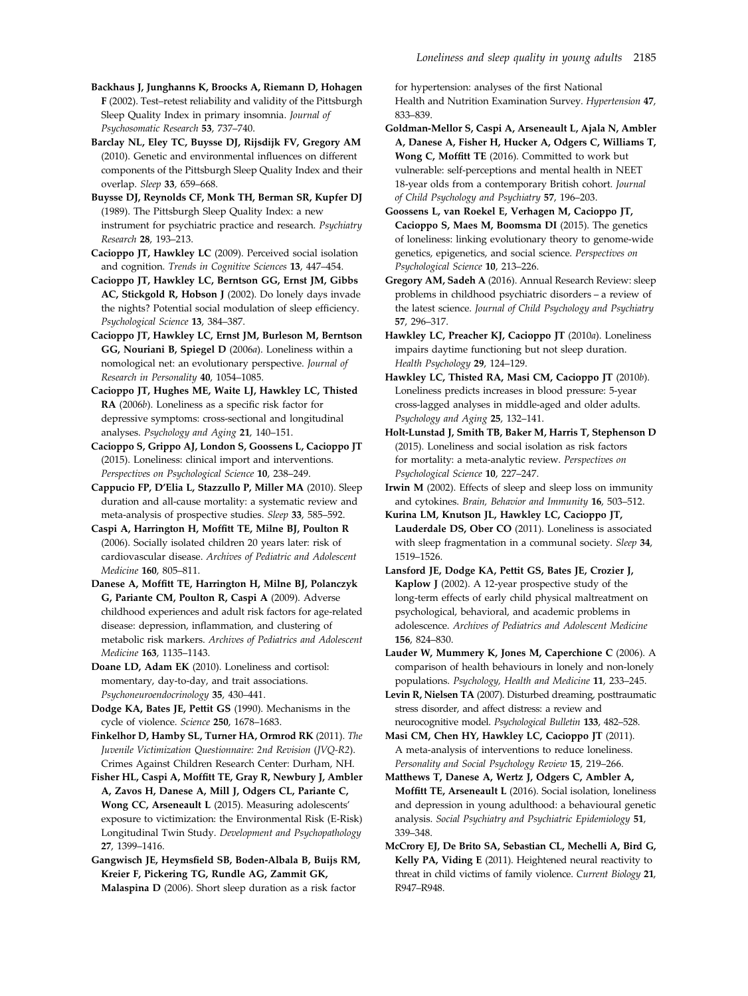<span id="page-8-0"></span>Backhaus J, Junghanns K, Broocks A, Riemann D, Hohagen F (2002). Test–retest reliability and validity of the Pittsburgh Sleep Quality Index in primary insomnia. Journal of Psychosomatic Research 53, 737–740.

Barclay NL, Eley TC, Buysse DJ, Rijsdijk FV, Gregory AM (2010). Genetic and environmental influences on different components of the Pittsburgh Sleep Quality Index and their overlap. Sleep 33, 659–668.

Buysse DJ, Reynolds CF, Monk TH, Berman SR, Kupfer DJ (1989). The Pittsburgh Sleep Quality Index: a new instrument for psychiatric practice and research. Psychiatry Research 28, 193–213.

Cacioppo JT, Hawkley LC (2009). Perceived social isolation and cognition. Trends in Cognitive Sciences 13, 447–454.

Cacioppo JT, Hawkley LC, Berntson GG, Ernst JM, Gibbs AC, Stickgold R, Hobson J (2002). Do lonely days invade the nights? Potential social modulation of sleep efficiency. Psychological Science 13, 384–387.

Cacioppo JT, Hawkley LC, Ernst JM, Burleson M, Berntson GG, Nouriani B, Spiegel D (2006a). Loneliness within a nomological net: an evolutionary perspective. Journal of Research in Personality 40, 1054–1085.

Cacioppo JT, Hughes ME, Waite LJ, Hawkley LC, Thisted RA (2006b). Loneliness as a specific risk factor for depressive symptoms: cross-sectional and longitudinal analyses. Psychology and Aging 21, 140–151.

Cacioppo S, Grippo AJ, London S, Goossens L, Cacioppo JT (2015). Loneliness: clinical import and interventions. Perspectives on Psychological Science 10, 238–249.

Cappucio FP, D'Elia L, Stazzullo P, Miller MA (2010). Sleep duration and all-cause mortality: a systematic review and meta-analysis of prospective studies. Sleep 33, 585–592.

Caspi A, Harrington H, Moffitt TE, Milne BJ, Poulton R (2006). Socially isolated children 20 years later: risk of cardiovascular disease. Archives of Pediatric and Adolescent Medicine 160, 805–811.

Danese A, Moffitt TE, Harrington H, Milne BJ, Polanczyk G, Pariante CM, Poulton R, Caspi A (2009). Adverse childhood experiences and adult risk factors for age-related disease: depression, inflammation, and clustering of metabolic risk markers. Archives of Pediatrics and Adolescent Medicine 163, 1135–1143.

Doane LD, Adam EK (2010). Loneliness and cortisol: momentary, day-to-day, and trait associations. Psychoneuroendocrinology 35, 430–441.

Dodge KA, Bates JE, Pettit GS (1990). Mechanisms in the cycle of violence. Science 250, 1678–1683.

Finkelhor D, Hamby SL, Turner HA, Ormrod RK (2011). The Juvenile Victimization Questionnaire: 2nd Revision (JVQ-R2). Crimes Against Children Research Center: Durham, NH.

Fisher HL, Caspi A, Moffitt TE, Gray R, Newbury J, Ambler A, Zavos H, Danese A, Mill J, Odgers CL, Pariante C, Wong CC, Arseneault L (2015). Measuring adolescents' exposure to victimization: the Environmental Risk (E-Risk) Longitudinal Twin Study. Development and Psychopathology 27, 1399–1416.

Gangwisch JE, Heymsfield SB, Boden-Albala B, Buijs RM, Kreier F, Pickering TG, Rundle AG, Zammit GK, Malaspina D (2006). Short sleep duration as a risk factor

for hypertension: analyses of the first National Health and Nutrition Examination Survey. Hypertension 47, 833–839.

Goldman-Mellor S, Caspi A, Arseneault L, Ajala N, Ambler A, Danese A, Fisher H, Hucker A, Odgers C, Williams T, Wong C, Moffitt TE (2016). Committed to work but vulnerable: self-perceptions and mental health in NEET 18-year olds from a contemporary British cohort. Journal of Child Psychology and Psychiatry 57, 196–203.

Goossens L, van Roekel E, Verhagen M, Cacioppo JT, Cacioppo S, Maes M, Boomsma DI (2015). The genetics of loneliness: linking evolutionary theory to genome-wide genetics, epigenetics, and social science. Perspectives on Psychological Science 10, 213–226.

Gregory AM, Sadeh A (2016). Annual Research Review: sleep problems in childhood psychiatric disorders – a review of the latest science. Journal of Child Psychology and Psychiatry 57, 296–317.

Hawkley LC, Preacher KJ, Cacioppo JT (2010a). Loneliness impairs daytime functioning but not sleep duration. Health Psychology 29, 124–129.

Hawkley LC, Thisted RA, Masi CM, Cacioppo JT (2010b). Loneliness predicts increases in blood pressure: 5-year cross-lagged analyses in middle-aged and older adults. Psychology and Aging 25, 132–141.

Holt-Lunstad J, Smith TB, Baker M, Harris T, Stephenson D (2015). Loneliness and social isolation as risk factors for mortality: a meta-analytic review. Perspectives on Psychological Science 10, 227–247.

Irwin M (2002). Effects of sleep and sleep loss on immunity and cytokines. Brain, Behavior and Immunity 16, 503–512.

Kurina LM, Knutson JL, Hawkley LC, Cacioppo JT, Lauderdale DS, Ober CO (2011). Loneliness is associated with sleep fragmentation in a communal society. Sleep 34, 1519–1526.

Lansford JE, Dodge KA, Pettit GS, Bates JE, Crozier J, Kaplow J (2002). A 12-year prospective study of the long-term effects of early child physical maltreatment on psychological, behavioral, and academic problems in adolescence. Archives of Pediatrics and Adolescent Medicine 156, 824–830.

Lauder W, Mummery K, Jones M, Caperchione C (2006). A comparison of health behaviours in lonely and non-lonely populations. Psychology, Health and Medicine 11, 233–245.

Levin R, Nielsen TA (2007). Disturbed dreaming, posttraumatic stress disorder, and affect distress: a review and neurocognitive model. Psychological Bulletin 133, 482–528.

Masi CM, Chen HY, Hawkley LC, Cacioppo JT (2011). A meta-analysis of interventions to reduce loneliness. Personality and Social Psychology Review 15, 219–266.

Matthews T, Danese A, Wertz J, Odgers C, Ambler A, Moffitt TE, Arseneault L (2016). Social isolation, loneliness and depression in young adulthood: a behavioural genetic analysis. Social Psychiatry and Psychiatric Epidemiology 51, 339–348.

McCrory EJ, De Brito SA, Sebastian CL, Mechelli A, Bird G, Kelly PA, Viding E (2011). Heightened neural reactivity to threat in child victims of family violence. Current Biology 21, R947–R948.